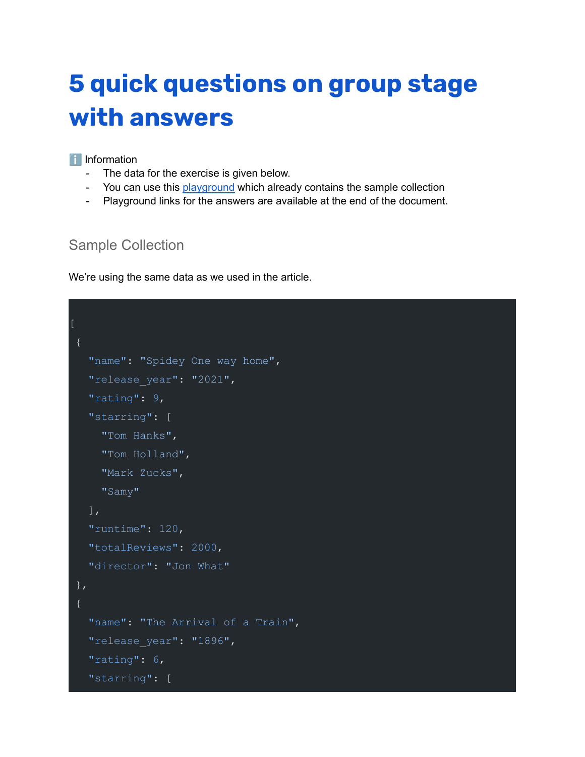# **5 quick [questions](http://localhost:3000/static/images/group-in-mongodb/project-stage.png) on group stage with [answers](http://localhost:3000/static/images/group-in-mongodb/project-stage.png)**

#### **T** Information

- The data for the exercise is given below.
- You can use this **[playground](https://mongoplayground.net/p/t36HH6qmmLi)** which already contains the sample collection
- Playground links for the answers are available at the end of the document.

## Sample Collection

We're using the same data as we used in the article.

```
"name": "Spidey One way home",
  "release year": "2021",
  "rating": 9,
  "starring": [
    "Tom Hanks",
    "Tom Holland",
    "Mark Zucks",
    "Samy"
  \frac{1}{2}"runtime": 120,
  "totalReviews": 2000,
  "director": "Jon What"
},
  "name": "The Arrival of a Train",
  "release_year": "1896",
  "rating": 6,
  "starring": [
```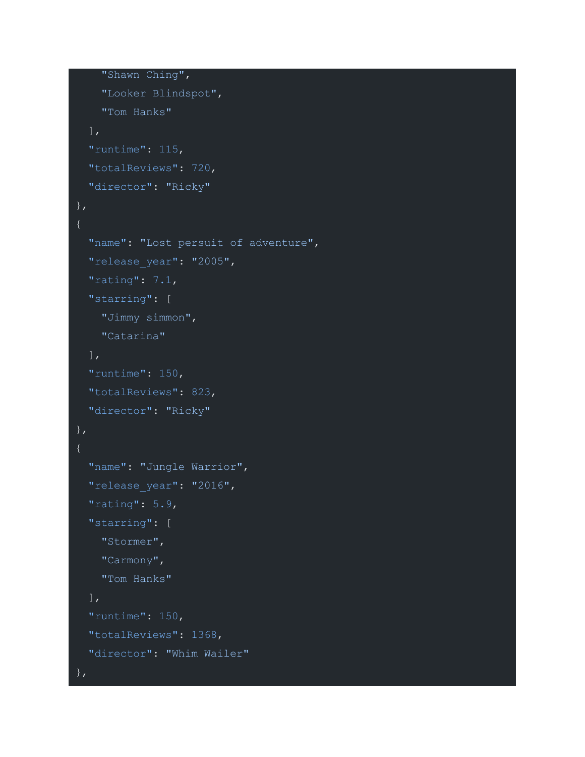```
"Shawn Ching",
    "Looker Blindspot",
    "Tom Hanks"
  ],
  "runtime": 115,
  "totalReviews": 720,
 "director": "Ricky"
},
  "name": "Lost persuit of adventure",
  "release year": "2005",
  "rating": 7.1,
  "starring": [
    "Jimmy simmon",
   "Catarina"
 \frac{1}{\sqrt{2}}"runtime": 150,
  "totalReviews": 823,
  "director": "Ricky"
},
  "name": "Jungle Warrior",
  "release_year": "2016",
  "rating": 5.9,
  "starring": [
    "Stormer",
    "Carmony",
    "Tom Hanks"
 \frac{1}{2}"runtime": 150,
  "totalReviews": 1368,
  "director": "Whim Wailer"
```
},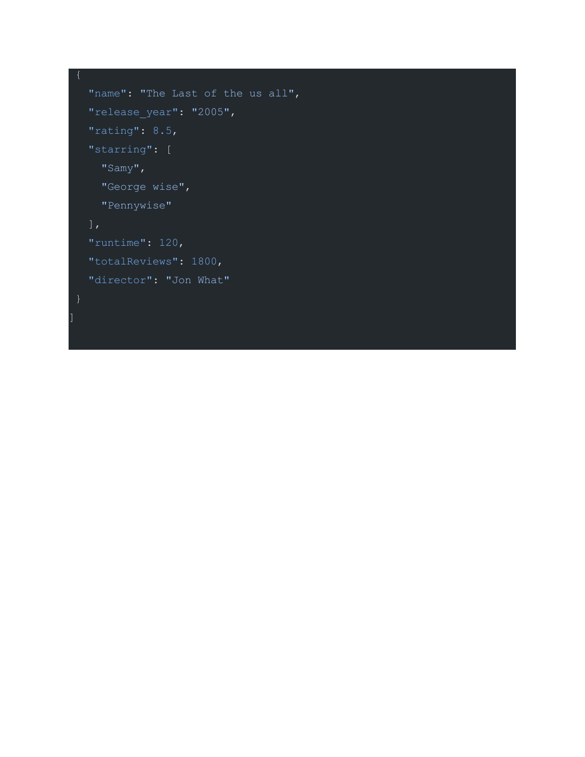```
"name": "The Last of the us all",
"release_year": "2005",
"rating": 8.5,
"starring": [
  "Samy",
 "George wise",
 "Pennywise"
],
"runtime": 120,
"totalReviews": 1800,
"director": "Jon What"
```